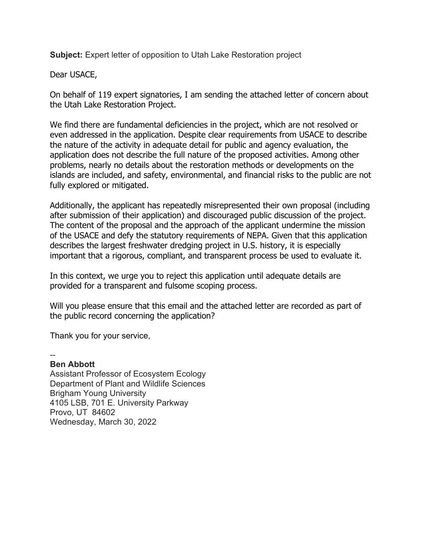**Subject:** Expert letter of opposition to Utah Lake Restoration project

Dear USACE,

On behalf of 119 expert signatories, I am sending the attached letter of concern about the Utah Lake Restoration Project.

We find there are fundamental deficiencies in the project, which are not resolved or even addressed in the application. Despite clear requirements from USACE to describe the nature of the activity in adequate detail for public and agency evaluation, the application does not describe the full nature of the proposed activities. Among other problems, nearly no details about the restoration methods or developments on the islands are included, and safety, environmental, and financial risks to the public are not fully explored or mitigated.

Additionally, the applicant has repeatedly misrepresented their own proposal (including after submission of their application) and discouraged public discussion of the project. The content of the proposal and the approach of the applicant undermine the mission of the USACE and defy the statutory requirements of NEPA. Given that this application describes the largest freshwater dredging project in U.S. history, it is especially important that a rigorous, compliant, and transparent process be used to evaluate it.

In this context, we urge you to reject this application until adequate details are provided for a transparent and fulsome scoping process.

Will you please ensure that this email and the attached letter are recorded as part of the public record concerning the application?

Thank you for your service,

## -- **Ben Abbott**

Assistant Professor of Ecosystem Ecology Department of Plant and Wildlife Sciences Brigham Young University 4105 LSB, 701 E. University Parkway Provo, UT 84602 Wednesday, March 30, 2022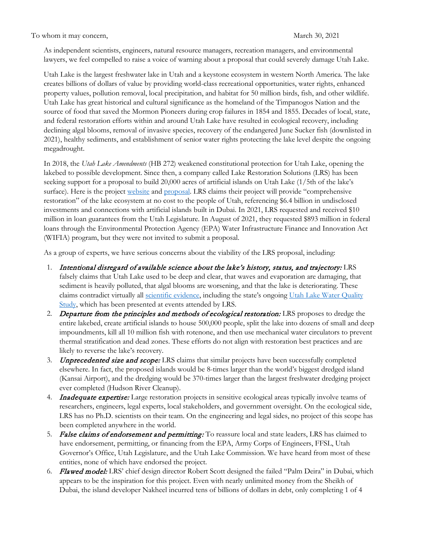To whom it may concern, The March 30, 2021

As independent scientists, engineers, natural resource managers, recreation managers, and environmental lawyers, we feel compelled to raise a voice of warning about a proposal that could severely damage Utah Lake.

Utah Lake is the largest freshwater lake in Utah and a keystone ecosystem in western North America. The lake creates billions of dollars of value by providing world-class recreational opportunities, water rights, enhanced property values, pollution removal, local precipitation, and habitat for 50 million birds, fish, and other wildlife. Utah Lake has great historical and cultural significance as the homeland of the Timpanogos Nation and the source of food that saved the Mormon Pioneers during crop failures in 1854 and 1855. Decades of local, state, and federal restoration efforts within and around Utah Lake have resulted in ecological recovery, including declining algal blooms, removal of invasive species, recovery of the endangered June Sucker fish (downlisted in 2021), healthy sediments, and establishment of senior water rights protecting the lake level despite the ongoing megadrought.

In 2018, the *Utah Lake Amendments* (HB 272) weakened constitutional protection for Utah Lake, opening the lakebed to possible development. Since then, a company called Lake Restoration Solutions (LRS) has been seeking support for a proposal to build 20,000 acres of artificial islands on Utah Lake (1/5th of the lake's surface). Here is the project [website](https://www.lakerestorationsolutions.com/) and [proposal.](https://ffsl.utah.gov/wp-content/uploads/UtahLakeRestorationProject-DigitalRedacted-011718-1.pdf) LRS claims their project will provide "comprehensive restoration" of the lake ecosystem at no cost to the people of Utah, referencing \$6.4 billion in undisclosed investments and connections with artificial islands built in Dubai. In 2021, LRS requested and received \$10 million in loan guarantees from the Utah Legislature. In August of 2021, they requested \$893 million in federal loans through the Environmental Protection Agency (EPA) Water Infrastructure Finance and Innovation Act (WIFIA) program, but they were not invited to submit a proposal.

As a group of experts, we have serious concerns about the viability of the LRS proposal, including:

- 1. Intentional disregard of available science about the lake's history, status, and trajectory: LRS falsely claims that Utah Lake used to be deep and clear, that waves and evaporation are damaging, that sediment is heavily polluted, that algal blooms are worsening, and that the lake is deteriorating. These claims contradict virtually all [scientific evidence,](https://pws.byu.edu/utah-lake/about-utah-lake) including the state's ongoing Utah Lake Water Quality [Study,](https://deq.utah.gov/water-quality/utah-lake-water-quality-study) which has been presented at events attended by LRS.
- 2. Departure from the principles and methods of ecological restoration: LRS proposes to dredge the entire lakebed, create artificial islands to house 500,000 people, split the lake into dozens of small and deep impoundments, kill all 10 million fish with rotenone, and then use mechanical water circulators to prevent thermal stratification and dead zones. These efforts do not align with restoration best practices and are likely to reverse the lake's recovery.
- 3. Unprecedented size and scope: LRS claims that similar projects have been successfully completed elsewhere. In fact, the proposed islands would be 8-times larger than the world's biggest dredged island (Kansai Airport), and the dredging would be 370-times larger than the largest freshwater dredging project ever completed (Hudson River Cleanup).
- 4. **Inadequate expertise:** Large restoration projects in sensitive ecological areas typically involve teams of researchers, engineers, legal experts, local stakeholders, and government oversight. On the ecological side, LRS has no Ph.D. scientists on their team. On the engineering and legal sides, no project of this scope has been completed anywhere in the world.
- 5. False claims of endorsement and permitting: To reassure local and state leaders, LRS has claimed to have endorsement, permitting, or financing from the EPA, Army Corps of Engineers, FFSL, Utah Governor's Office, Utah Legislature, and the Utah Lake Commission. We have heard from most of these entities, none of which have endorsed the project.
- 6. Flawed model: LRS' chief design director Robert Scott designed the failed "Palm Deira" in Dubai, which appears to be the inspiration for this project. Even with nearly unlimited money from the Sheikh of Dubai, the island developer Nakheel incurred tens of billions of dollars in debt, only completing 1 of 4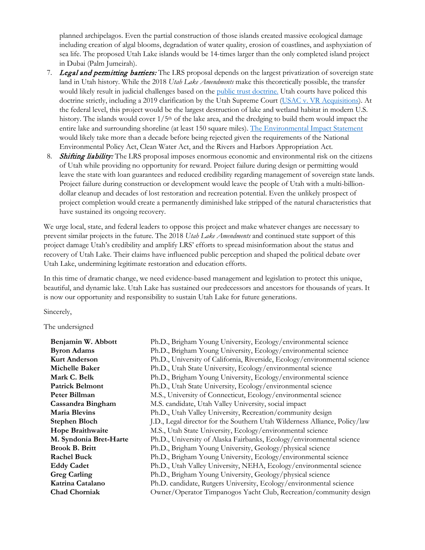planned archipelagos. Even the partial construction of those islands created massive ecological damage including creation of algal blooms, degradation of water quality, erosion of coastlines, and asphyxiation of sea life. The proposed Utah Lake islands would be 14-times larger than the only completed island project in Dubai (Palm Jumeirah).

- 7. Legal and permitting barriers: The LRS proposal depends on the largest privatization of sovereign state land in Utah history. While the 2018 *Utah Lake Amendments* make this theoretically possible, the transfer would likely result in judicial challenges based on the [public trust doctrine.](https://envst.utah.edu/news/andrew-follet-paper.php#:%7E:text=Bartering%20the%20Public%20Trust%20leverages,republican%20principles%20of%20the%20state.) Utah courts have policed this doctrine strictly, including a 2019 clarification by the Utah Supreme Court [\(USAC v. VR Acquisitions\)](https://propertyrights.utah.gov/2021/01/26/new-case-summary-utah-stream-access-coal-v-vr-acquisitions-llc/). At the federal level, this project would be the largest destruction of lake and wetland habitat in modern U.S. history. The islands would cover  $1/5<sup>th</sup>$  of the lake area, and the dredging to build them would impact the entire lake and surrounding shoreline (at least 150 square miles). [The Environmental Impact Statement](https://www.americanbar.org/groups/public_education/publications/teaching-legal-docs/teaching-legal-docs--what-is-an-environmental-impact-statement-/#:%7E:text=An%20EIS%20outlines%20the%20status,relation%20to%20the%20proposed%20project.) would likely take more than a decade before being rejected given the requirements of the National Environmental Policy Act, Clean Water Act, and the Rivers and Harbors Appropriation Act.
- 8. **Shifting liability:** The LRS proposal imposes enormous economic and environmental risk on the citizens of Utah while providing no opportunity for reward. Project failure during design or permitting would leave the state with loan guarantees and reduced credibility regarding management of sovereign state lands. Project failure during construction or development would leave the people of Utah with a multi-billiondollar cleanup and decades of lost restoration and recreation potential. Even the unlikely prospect of project completion would create a permanently diminished lake stripped of the natural characteristics that have sustained its ongoing recovery.

We urge local, state, and federal leaders to oppose this project and make whatever changes are necessary to prevent similar projects in the future. The 2018 *Utah Lake Amendments* and continued state support of this project damage Utah's credibility and amplify LRS' efforts to spread misinformation about the status and recovery of Utah Lake. Their claims have influenced public perception and shaped the political debate over Utah Lake, undermining legitimate restoration and education efforts.

In this time of dramatic change, we need evidence-based management and legislation to protect this unique, beautiful, and dynamic lake. Utah Lake has sustained our predecessors and ancestors for thousands of years. It is now our opportunity and responsibility to sustain Utah Lake for future generations.

Sincerely,

The undersigned

| Benjamin W. Abbott      | Ph.D., Brigham Young University, Ecology/environmental science             |
|-------------------------|----------------------------------------------------------------------------|
| <b>Byron Adams</b>      | Ph.D., Brigham Young University, Ecology/environmental science             |
| <b>Kurt Anderson</b>    | Ph.D., University of California, Riverside, Ecology/environmental science  |
| Michelle Baker          | Ph.D., Utah State University, Ecology/environmental science                |
| Mark C. Belk            | Ph.D., Brigham Young University, Ecology/environmental science             |
| <b>Patrick Belmont</b>  | Ph.D., Utah State University, Ecology/environmental science                |
| Peter Billman           | M.S., University of Connecticut, Ecology/environmental science             |
| Cassandra Bingham       | M.S. candidate, Utah Valley University, social impact                      |
| <b>Maria Blevins</b>    | Ph.D., Utah Valley University, Recreation/community design                 |
| <b>Stephen Bloch</b>    | J.D., Legal director for the Southern Utah Wilderness Alliance, Policy/law |
| <b>Hope Braithwaite</b> | M.S., Utah State University, Ecology/environmental science                 |
| M. Syndonia Bret-Harte  | Ph.D., University of Alaska Fairbanks, Ecology/environmental science       |
| <b>Brook B. Britt</b>   | Ph.D., Brigham Young University, Geology/physical science                  |
| <b>Rachel Buck</b>      | Ph.D., Brigham Young University, Ecology/environmental science             |
| <b>Eddy Cadet</b>       | Ph.D., Utah Valley University, NEHA, Ecology/environmental science         |
| <b>Greg Carling</b>     | Ph.D., Brigham Young University, Geology/physical science                  |
| Katrina Catalano        | Ph.D. candidate, Rutgers University, Ecology/environmental science         |
| <b>Chad Chorniak</b>    | Owner/Operator Timpanogos Yacht Club, Recreation/community design          |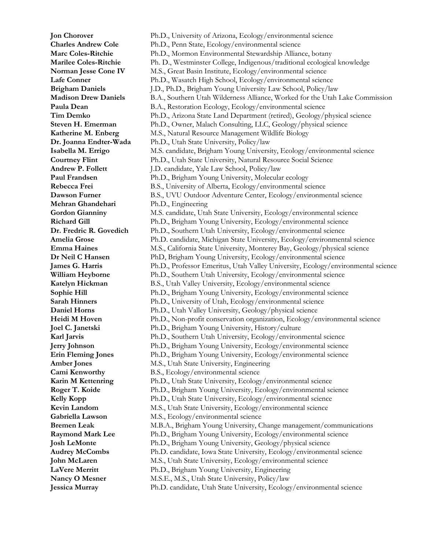**Jon Chorover** Ph.D., University of Arizona, Ecology/environmental science **Charles Andrew Cole** Ph.D., Penn State, Ecology/environmental science Marc Coles-Ritchie Ph.D., Mormon Environmental Stewardship Alliance, botany **Marilee Coles-Ritchie** Ph. D., Westminster College, Indigenous/traditional ecological knowledge **Norman Jesse Cone IV** M.S., Great Basin Institute, Ecology/environmental science Lafe Conner<br>
Ph.D., Wasatch High School, Ecology/environmental science **Brigham Daniels** J.D., Ph.D., Brigham Young University Law School, Policy/law **Madison Drew Daniels** B.A., Southern Utah Wilderness Alliance, Worked for the Utah Lake Commission **Paula Dean** B.A., Restoration Ecology, Ecology/environmental science **Tim Demko** Ph.D., Arizona State Land Department (retired), Geology/physical science **Steven H. Emerman** Ph.D., Owner, Malach Consulting, LLC, Geology/physical science **Katherine M. Enberg** M.S., Natural Resource Management Wildlife Biology **Dr. Joanna Endter-Wada** Ph.D., Utah State University, Policy/law **Isabella M. Errigo** M.S. candidate, Brigham Young University, Ecology/environmental science **Courtney Flint** Ph.D., Utah State University, Natural Resource Social Science **Andrew P. Follett** J.D. candidate, Yale Law School, Policy/law **Paul Frandsen** Ph.D., Brigham Young University, Molecular ecology **Rebecca Frei** B.S., University of Alberta, Ecology/environmental science **Dawson Furner** B.S., UVU Outdoor Adventure Center, Ecology/environmental science **Mehran Ghandehari** Ph.D., Engineering **Gordon Gianniny** M.S. candidate, Utah State University, Ecology/environmental science **Richard Gill** Ph.D., Brigham Young University, Ecology/environmental science **Dr. Fredric R. Govedich** Ph.D., Southern Utah University, Ecology/environmental science **Amelia Grose** Ph.D. candidate, Michigan State University, Ecology/environmental science **Emma Haines** M.S., California State University, Monterey Bay, Geology/physical science **Dr Neil C Hansen** PhD, Brigham Young University, Ecology/environmental science **James G. Harris** Ph.D., Professor Emeritus, Utah Valley University, Ecology/environmental science **William Heyborne** Ph.D., Southern Utah University, Ecology/environmental science **Katelyn Hickman** B.S., Utah Valley University, Ecology/environmental science **Sophie Hill** Ph.D., Brigham Young University, Ecology/environmental science **Sarah Hinners** Ph.D., University of Utah, Ecology/environmental science **Daniel Horns** Ph.D., Utah Valley University, Geology/physical science **Heidi M Hoven** Ph.D., Non-profit conservation organization, Ecology/environmental science **Joel C. Janetski** Ph.D., Brigham Young University, History/culture **Karl Jarvis** Ph.D., Southern Utah University, Ecology/environmental science **Jerry Johnson** Ph.D., Brigham Young University, Ecology/environmental science **Erin Fleming Jones** Ph.D., Brigham Young University, Ecology/environmental science Amber Jones M.S., Utah State University, Engineering **Cami Kenworthy** B.S., Ecology/environmental science **Karin M Kettenring** Ph.D., Utah State University, Ecology/environmental science **Roger T. Koide** Ph.D., Brigham Young University, Ecology/environmental science **Kelly Kopp** Ph.D., Utah State University, Ecology/environmental science **Kevin Landom** M.S., Utah State University, Ecology/environmental science Gabriella Lawson M.S., Ecology/environmental science **Bremen Leak** M.B.A., Brigham Young University, Change management/communications **Raymond Mark Lee** Ph.D., Brigham Young University, Ecology/environmental science **Josh LeMonte** Ph.D., Brigham Young University, Geology/physical science **Audrey McCombs** Ph.D. candidate, Iowa State University, Ecology/environmental science **John McLaren** M.S., Utah State University, Ecology/environmental science LaVere Merritt Ph.D., Brigham Young University, Engineering **Nancy O Mesner** M.S.E., M.S., Utah State University, Policy/law **Jessica Murray** Ph.D. candidate, Utah State University, Ecology/environmental science